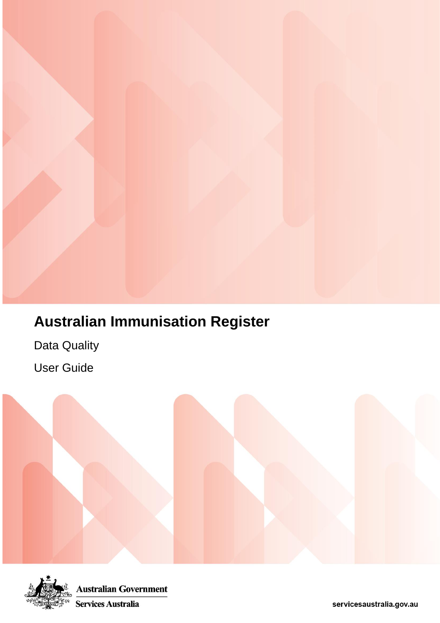# **Australian Immunisation Register**

Australian Immunisation Register

AIR-010A Due and Overdue by Immunisation Practice Reports

Data Quality

User Guide

User Guide



**Australian Government** Services Australia

servicesaustralia.gov.au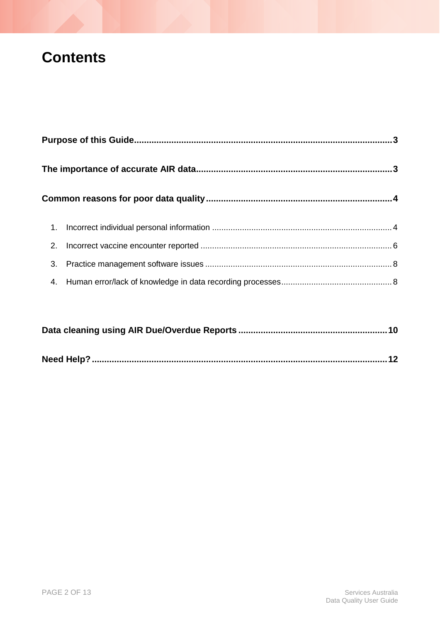### **Contents**

| 3. |  |
|----|--|
|    |  |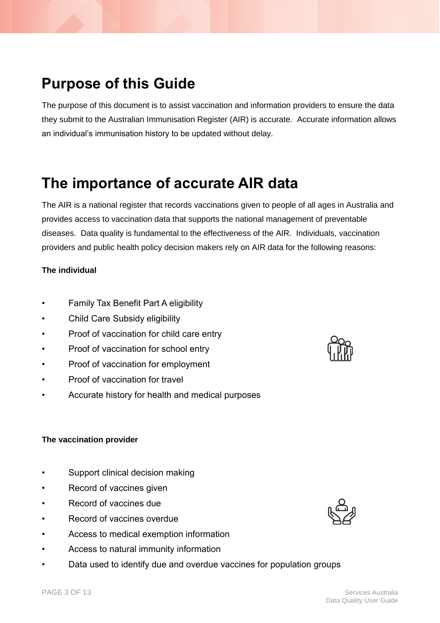### <span id="page-2-0"></span>**Purpose of this Guide**

The purpose of this document is to assist vaccination and information providers to ensure the data they submit to the Australian Immunisation Register (AIR) is accurate. Accurate information allows an individual's immunisation history to be updated without delay.

## <span id="page-2-1"></span>**The importance of accurate AIR data**

The AIR is a national register that records vaccinations given to people of all ages in Australia and provides access to vaccination data that supports the national management of preventable diseases. Data quality is fundamental to the effectiveness of the AIR. Individuals, vaccination providers and public health policy decision makers rely on AIR data for the following reasons:

#### **The individual**

- Family Tax Benefit Part A eligibility
- Child Care Subsidy eligibility
- Proof of vaccination for child care entry
- Proof of vaccination for school entry
- Proof of vaccination for employment
- Proof of vaccination for travel
- Accurate history for health and medical purposes

#### **The vaccination provider**

- Support clinical decision making
- Record of vaccines given
- Record of vaccines due
- Record of vaccines overdue
- Access to medical exemption information
- Access to natural immunity information
- Data used to identify due and overdue vaccines for population groups



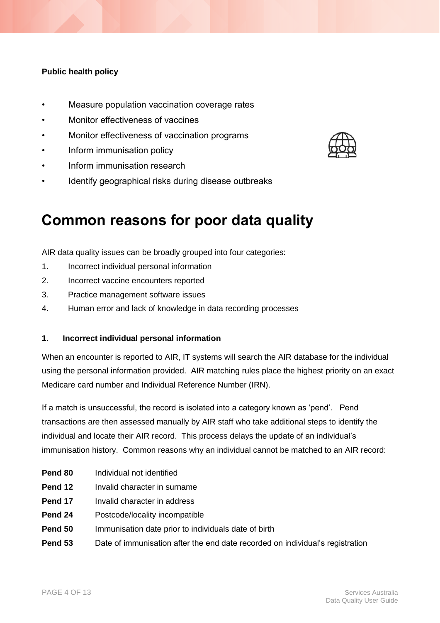#### **Public health policy**

- Measure population vaccination coverage rates
- Monitor effectiveness of vaccines
- Monitor effectiveness of vaccination programs
- Inform immunisation policy
- Inform immunisation research
- Identify geographical risks during disease outbreaks

### <span id="page-3-0"></span>**Common reasons for poor data quality**

AIR data quality issues can be broadly grouped into four categories:

- 1. Incorrect individual personal information
- 2. Incorrect vaccine encounters reported
- 3. Practice management software issues
- 4. Human error and lack of knowledge in data recording processes

#### <span id="page-3-1"></span>**1. Incorrect individual personal information**

When an encounter is reported to AIR, IT systems will search the AIR database for the individual using the personal information provided. AIR matching rules place the highest priority on an exact Medicare card number and Individual Reference Number (IRN).

If a match is unsuccessful, the record is isolated into a category known as 'pend'. Pend transactions are then assessed manually by AIR staff who take additional steps to identify the individual and locate their AIR record. This process delays the update of an individual's immunisation history. Common reasons why an individual cannot be matched to an AIR record:

- **Pend 80** Individual not identified
- **Pend 12** Invalid character in surname
- **Pend 17** Invalid character in address
- **Pend 24** Postcode/locality incompatible
- **Pend 50** Immunisation date prior to individuals date of birth
- **Pend 53** Date of immunisation after the end date recorded on individual's registration

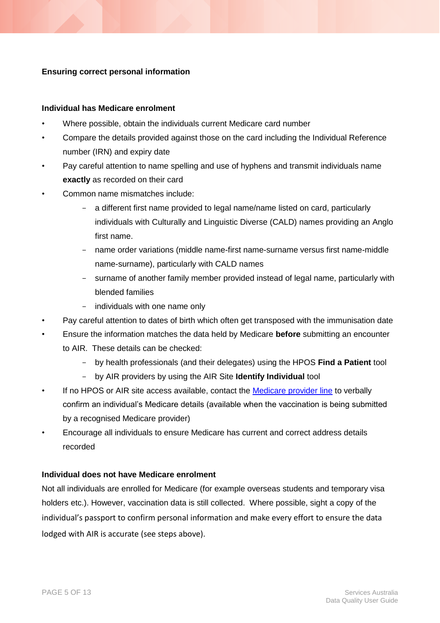#### **Ensuring correct personal information**

#### **Individual has Medicare enrolment**

- Where possible, obtain the individuals current Medicare card number
- Compare the details provided against those on the card including the Individual Reference number (IRN) and expiry date
- Pay careful attention to name spelling and use of hyphens and transmit individuals name **exactly** as recorded on their card
- Common name mismatches include:
	- a different first name provided to legal name/name listed on card, particularly individuals with Culturally and Linguistic Diverse (CALD) names providing an Anglo first name.
	- name order variations (middle name-first name-surname versus first name-middle name-surname), particularly with CALD names
	- surname of another family member provided instead of legal name, particularly with blended families
	- individuals with one name only
- Pay careful attention to dates of birth which often get transposed with the immunisation date
- Ensure the information matches the data held by Medicare **before** submitting an encounter to AIR. These details can be checked:
	- by health professionals (and their delegates) using the HPOS **Find a Patient** tool
	- by AIR providers by using the AIR Site **Identify Individual** tool
- If no HPOS or AIR site access available, contact the [Medicare provider line](https://www.servicesaustralia.gov.au/organisations/health-professionals/health-professionals-contact-information) to verbally confirm an individual's Medicare details (available when the vaccination is being submitted by a recognised Medicare provider)
- Encourage all individuals to ensure Medicare has current and correct address details recorded

#### **Individual does not have Medicare enrolment**

Not all individuals are enrolled for Medicare (for example overseas students and temporary visa holders etc.). However, vaccination data is still collected. Where possible, sight a copy of the individual's passport to confirm personal information and make every effort to ensure the data lodged with AIR is accurate (see steps above).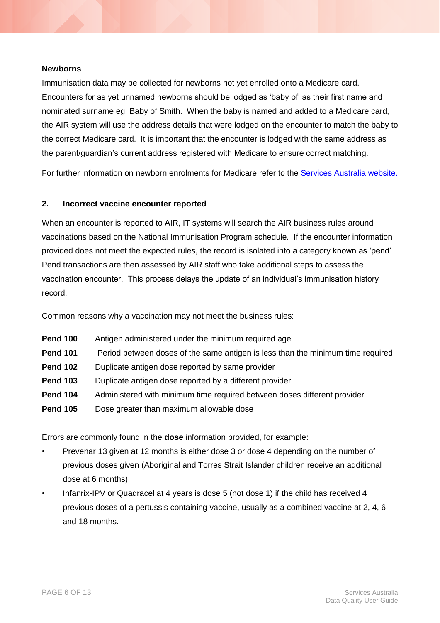#### **Newborns**

Immunisation data may be collected for newborns not yet enrolled onto a Medicare card. Encounters for as yet unnamed newborns should be lodged as 'baby of' as their first name and nominated surname eg. Baby of Smith. When the baby is named and added to a Medicare card, the AIR system will use the address details that were lodged on the encounter to match the baby to the correct Medicare card. It is important that the encounter is lodged with the same address as the parent/guardian's current address registered with Medicare to ensure correct matching.

For further information on newborn enrolments for Medicare refer to the [Services Australia website.](https://www.servicesaustralia.gov.au/individuals/subjects/how-enrol-and-get-started-medicare/enrolling-your-baby-medicare)

#### <span id="page-5-0"></span>**2. Incorrect vaccine encounter reported**

When an encounter is reported to AIR, IT systems will search the AIR business rules around vaccinations based on the National Immunisation Program schedule. If the encounter information provided does not meet the expected rules, the record is isolated into a category known as 'pend'. Pend transactions are then assessed by AIR staff who take additional steps to assess the vaccination encounter. This process delays the update of an individual's immunisation history record.

Common reasons why a vaccination may not meet the business rules:

**Pend 100** Antigen administered under the minimum required age **Pend 101** Period between doses of the same antigen is less than the minimum time required **Pend 102** Duplicate antigen dose reported by same provider **Pend 103** Duplicate antigen dose reported by a different provider **Pend 104** Administered with minimum time required between doses different provider **Pend 105** Dose greater than maximum allowable dose

Errors are commonly found in the **dose** information provided, for example:

- Prevenar 13 given at 12 months is either dose 3 or dose 4 depending on the number of previous doses given (Aboriginal and Torres Strait Islander children receive an additional dose at 6 months).
- Infanrix-IPV or Quadracel at 4 years is dose 5 (not dose 1) if the child has received 4 previous doses of a pertussis containing vaccine, usually as a combined vaccine at 2, 4, 6 and 18 months.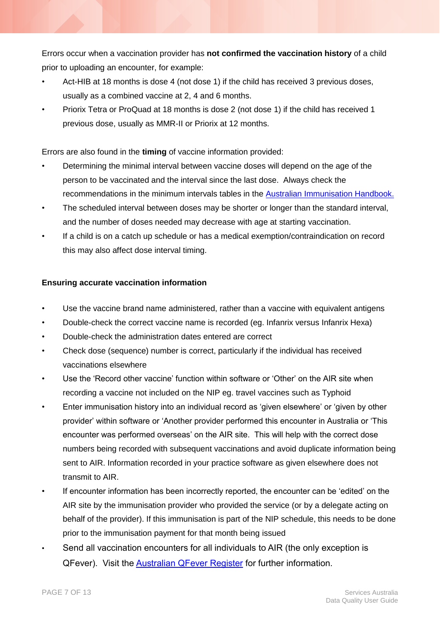Errors occur when a vaccination provider has **not confirmed the vaccination history** of a child prior to uploading an encounter, for example:

- Act-HIB at 18 months is dose 4 (not dose 1) if the child has received 3 previous doses, usually as a combined vaccine at 2, 4 and 6 months.
- Priorix Tetra or ProQuad at 18 months is dose 2 (not dose 1) if the child has received 1 previous dose, usually as MMR-II or Priorix at 12 months.

Errors are also found in the **timing** of vaccine information provided:

- Determining the minimal interval between vaccine doses will depend on the age of the person to be vaccinated and the interval since the last dose. Always check the recommendations in the minimum intervals tables in the [Australian Immunisation Handbook.](https://immunisationhandbook.health.gov.au/resources/handbook-tables/table-minimum-acceptable-dose-intervals-for-children)
- The scheduled interval between doses may be shorter or longer than the standard interval, and the number of doses needed may decrease with age at starting vaccination.
- If a child is on a catch up schedule or has a medical exemption/contraindication on record this may also affect dose interval timing.

#### **Ensuring accurate vaccination information**

- Use the vaccine brand name administered, rather than a vaccine with equivalent antigens
- Double-check the correct vaccine name is recorded (eg. Infanrix versus Infanrix Hexa)
- Double-check the administration dates entered are correct
- Check dose (sequence) number is correct, particularly if the individual has received vaccinations elsewhere
- Use the 'Record other vaccine' function within software or 'Other' on the AIR site when recording a vaccine not included on the NIP eg. travel vaccines such as Typhoid
- Enter immunisation history into an individual record as 'given elsewhere' or 'given by other provider' within software or 'Another provider performed this encounter in Australia or 'This encounter was performed overseas' on the AIR site. This will help with the correct dose numbers being recorded with subsequent vaccinations and avoid duplicate information being sent to AIR. Information recorded in your practice software as given elsewhere does not transmit to AIR.
- If encounter information has been incorrectly reported, the encounter can be 'edited' on the AIR site by the immunisation provider who provided the service (or by a delegate acting on behalf of the provider). If this immunisation is part of the NIP schedule, this needs to be done prior to the immunisation payment for that month being issued
- Send all vaccination encounters for all individuals to AIR (the only exception is QFever). Visit the [Australian QFever Register](https://www.qfever.org/) for further information.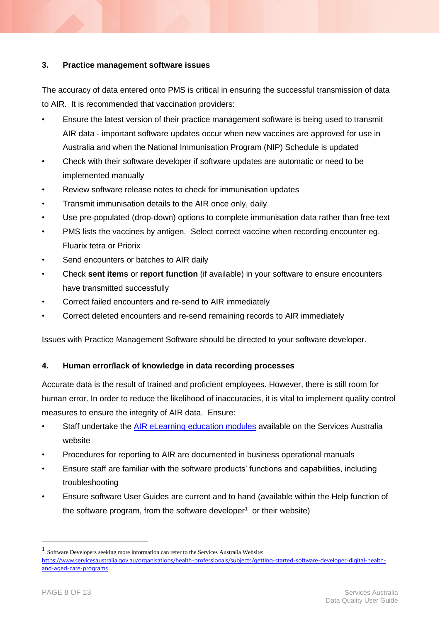#### <span id="page-7-0"></span>**3. Practice management software issues**

The accuracy of data entered onto PMS is critical in ensuring the successful transmission of data to AIR. It is recommended that vaccination providers:

- Ensure the latest version of their practice management software is being used to transmit AIR data - important software updates occur when new vaccines are approved for use in Australia and when the National Immunisation Program (NIP) Schedule is updated
- Check with their software developer if software updates are automatic or need to be implemented manually
- Review software release notes to check for immunisation updates
- Transmit immunisation details to the AIR once only, daily
- Use pre-populated (drop-down) options to complete immunisation data rather than free text
- PMS lists the vaccines by antigen. Select correct vaccine when recording encounter eg. Fluarix tetra or Priorix
- Send encounters or batches to AIR daily
- Check **sent items** or **report function** (if available) in your software to ensure encounters have transmitted successfully
- Correct failed encounters and re-send to AIR immediately
- Correct deleted encounters and re-send remaining records to AIR immediately

Issues with Practice Management Software should be directed to your software developer.

#### <span id="page-7-1"></span>**4. Human error/lack of knowledge in data recording processes**

Accurate data is the result of trained and proficient employees. However, there is still room for human error. In order to reduce the likelihood of inaccuracies, it is vital to implement quality control measures to ensure the integrity of AIR data. Ensure:

- Staff undertake the [AIR eLearning education modules](https://www.servicesaustralia.gov.au/organisations/health-professionals/subjects/air-education-vaccination-providers) available on the Services Australia website
- Procedures for reporting to AIR are documented in business operational manuals
- Ensure staff are familiar with the software products' functions and capabilities, including troubleshooting
- Ensure software User Guides are current and to hand (available within the Help function of the software program, from the software developer<sup>1</sup> or their website)

1

<sup>1</sup> Software Developers seeking more information can refer to the Services Australia Website: [https://www.servicesaustralia.gov.au/organisations/health-professionals/subjects/getting-started-software-developer-digital-health](https://www.servicesaustralia.gov.au/organisations/health-professionals/subjects/getting-started-software-developer-digital-health-and-aged-care-programs)[and-aged-care-programs](https://www.servicesaustralia.gov.au/organisations/health-professionals/subjects/getting-started-software-developer-digital-health-and-aged-care-programs)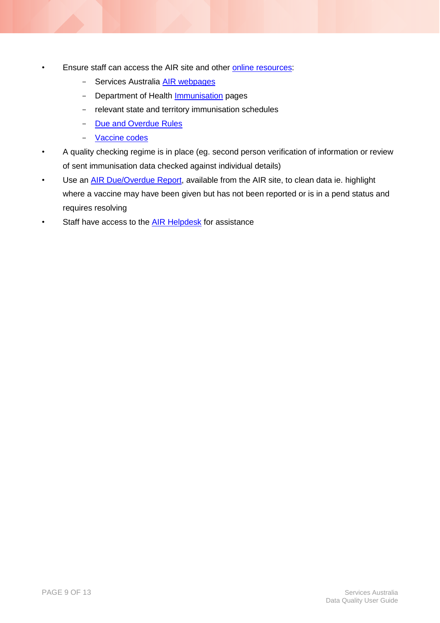- Ensure staff can access the AIR site and other [online resources:](https://www.servicesaustralia.gov.au/organisations/health-professionals/services/medicare/australian-immunisation-register-health-professionals/resources)
	- Services Australia [AIR webpages](https://www.servicesaustralia.gov.au/organisations/health-professionals/services/medicare/australian-immunisation-register-health-professionals)
	- Department of Health **Immunisation** pages
	- relevant state and territory immunisation schedules
	- [Due and Overdue Rules](https://www.servicesaustralia.gov.au/organisations/health-professionals/services/medicare/australian-immunisation-register-health-professionals/resources/national-due-and-overdue-rules-immunisation)
	- [Vaccine codes](https://www.servicesaustralia.gov.au/organisations/health-professionals/services/medicare/australian-immunisation-register-health-professionals/resources/air-vaccine-code-formats)
- A quality checking regime is in place (eg. second person verification of information or review of sent immunisation data checked against individual details)
- Use an *AIR Due/Overdue Report*, available from the AIR site, to clean data ie. highlight where a vaccine may have been given but has not been reported or is in a pend status and requires resolving
- <span id="page-8-0"></span>Staff have access to the **AIR Helpdesk** for assistance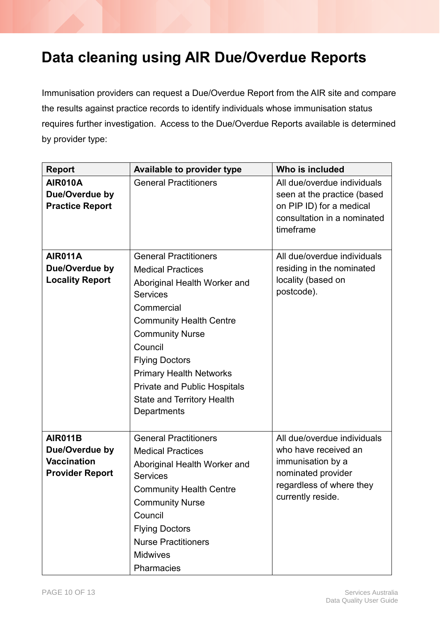### <span id="page-9-0"></span>**Data cleaning using AIR Due/Overdue Reports**

Immunisation providers can request a Due/Overdue Report from the AIR site and compare the results against practice records to identify individuals whose immunisation status requires further investigation. Access to the Due/Overdue Reports available is determined by provider type:

| <b>Report</b>                                                                    | <b>Available to provider type</b>                                                                                                                                                                                                                                                                                                                      | Who is included                                                                                                                                 |
|----------------------------------------------------------------------------------|--------------------------------------------------------------------------------------------------------------------------------------------------------------------------------------------------------------------------------------------------------------------------------------------------------------------------------------------------------|-------------------------------------------------------------------------------------------------------------------------------------------------|
| <b>AIR010A</b><br>Due/Overdue by<br><b>Practice Report</b>                       | <b>General Practitioners</b>                                                                                                                                                                                                                                                                                                                           | All due/overdue individuals<br>seen at the practice (based<br>on PIP ID) for a medical<br>consultation in a nominated<br>timeframe              |
| AIR011A<br>Due/Overdue by<br><b>Locality Report</b>                              | <b>General Practitioners</b><br><b>Medical Practices</b><br>Aboriginal Health Worker and<br><b>Services</b><br>Commercial<br><b>Community Health Centre</b><br><b>Community Nurse</b><br>Council<br><b>Flying Doctors</b><br><b>Primary Health Networks</b><br><b>Private and Public Hospitals</b><br><b>State and Territory Health</b><br>Departments | All due/overdue individuals<br>residing in the nominated<br>locality (based on<br>postcode).                                                    |
| <b>AIR011B</b><br>Due/Overdue by<br><b>Vaccination</b><br><b>Provider Report</b> | <b>General Practitioners</b><br><b>Medical Practices</b><br>Aboriginal Health Worker and<br><b>Services</b><br><b>Community Health Centre</b><br><b>Community Nurse</b><br>Council<br><b>Flying Doctors</b><br><b>Nurse Practitioners</b><br><b>Midwives</b><br>Pharmacies                                                                             | All due/overdue individuals<br>who have received an<br>immunisation by a<br>nominated provider<br>regardless of where they<br>currently reside. |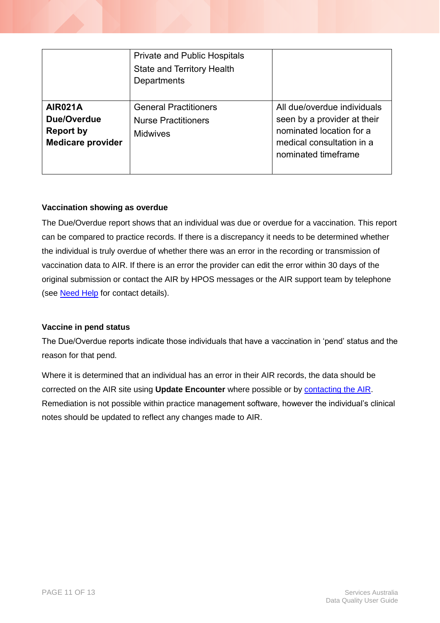|                                                                        | <b>Private and Public Hospitals</b><br><b>State and Territory Health</b><br>Departments |                                                                                                                                            |
|------------------------------------------------------------------------|-----------------------------------------------------------------------------------------|--------------------------------------------------------------------------------------------------------------------------------------------|
| <b>AIR021A</b><br>Due/Overdue<br>Report by<br><b>Medicare provider</b> | <b>General Practitioners</b><br><b>Nurse Practitioners</b><br><b>Midwives</b>           | All due/overdue individuals<br>seen by a provider at their<br>nominated location for a<br>medical consultation in a<br>nominated timeframe |

#### **Vaccination showing as overdue**

The Due/Overdue report shows that an individual was due or overdue for a vaccination. This report can be compared to practice records. If there is a discrepancy it needs to be determined whether the individual is truly overdue of whether there was an error in the recording or transmission of vaccination data to AIR. If there is an error the provider can edit the error within 30 days of the original submission or contact the AIR by HPOS messages or the AIR support team by telephone (see **Need Help** for contact details).

#### **Vaccine in pend status**

The Due/Overdue reports indicate those individuals that have a vaccination in 'pend' status and the reason for that pend.

Where it is determined that an individual has an error in their AIR records, the data should be corrected on the AIR site using **Update Encounter** where possible or by [contacting the AIR.](#page-11-0) Remediation is not possible within practice management software, however the individual's clinical notes should be updated to reflect any changes made to AIR.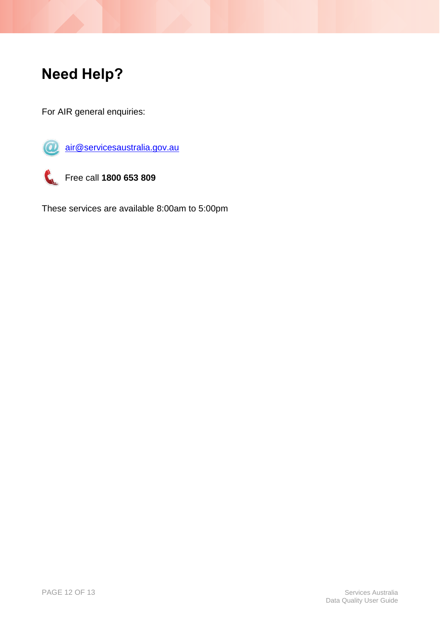## <span id="page-11-0"></span>**Need Help?**

For AIR general enquiries:



[air@servicesaustralia.gov.au](mailto:air@servicesaustralia.gov.au)



Free call **1800 653 809**

These services are available 8:00am to 5:00pm